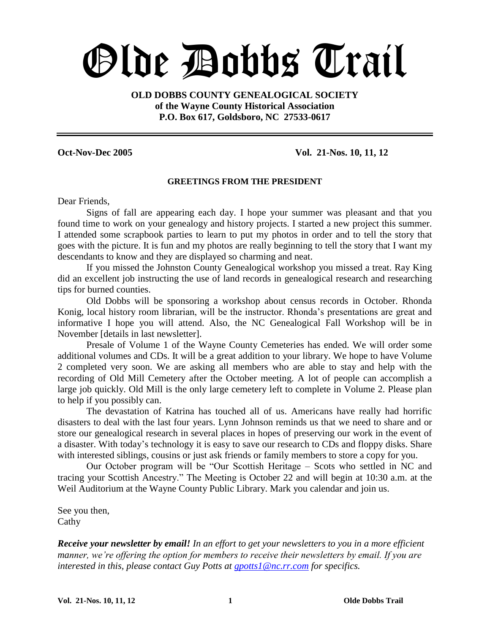# Olde Dobbs Trail

**OLD DOBBS COUNTY GENEALOGICAL SOCIETY of the Wayne County Historical Association P.O. Box 617, Goldsboro, NC 27533-0617**

#### **Oct-Nov-Dec 2005 Vol. 21-Nos. 10, 11, 12**

#### **GREETINGS FROM THE PRESIDENT**

Dear Friends,

Signs of fall are appearing each day. I hope your summer was pleasant and that you found time to work on your genealogy and history projects. I started a new project this summer. I attended some scrapbook parties to learn to put my photos in order and to tell the story that goes with the picture. It is fun and my photos are really beginning to tell the story that I want my descendants to know and they are displayed so charming and neat.

If you missed the Johnston County Genealogical workshop you missed a treat. Ray King did an excellent job instructing the use of land records in genealogical research and researching tips for burned counties.

Old Dobbs will be sponsoring a workshop about census records in October. Rhonda Konig, local history room librarian, will be the instructor. Rhonda's presentations are great and informative I hope you will attend. Also, the NC Genealogical Fall Workshop will be in November [details in last newsletter].

Presale of Volume 1 of the Wayne County Cemeteries has ended. We will order some additional volumes and CDs. It will be a great addition to your library. We hope to have Volume 2 completed very soon. We are asking all members who are able to stay and help with the recording of Old Mill Cemetery after the October meeting. A lot of people can accomplish a large job quickly. Old Mill is the only large cemetery left to complete in Volume 2. Please plan to help if you possibly can.

The devastation of Katrina has touched all of us. Americans have really had horrific disasters to deal with the last four years. Lynn Johnson reminds us that we need to share and or store our genealogical research in several places in hopes of preserving our work in the event of a disaster. With today's technology it is easy to save our research to CDs and floppy disks. Share with interested siblings, cousins or just ask friends or family members to store a copy for you.

Our October program will be "Our Scottish Heritage – Scots who settled in NC and tracing your Scottish Ancestry." The Meeting is October 22 and will begin at 10:30 a.m. at the Weil Auditorium at the Wayne County Public Library. Mark you calendar and join us.

See you then, Cathy

*Receive your newsletter by email! In an effort to get your newsletters to you in a more efficient manner, we're offering the option for members to receive their newsletters by email. If you are interested in this, please contact Guy Potts at gpotts1@nc.rr.com for specifics.*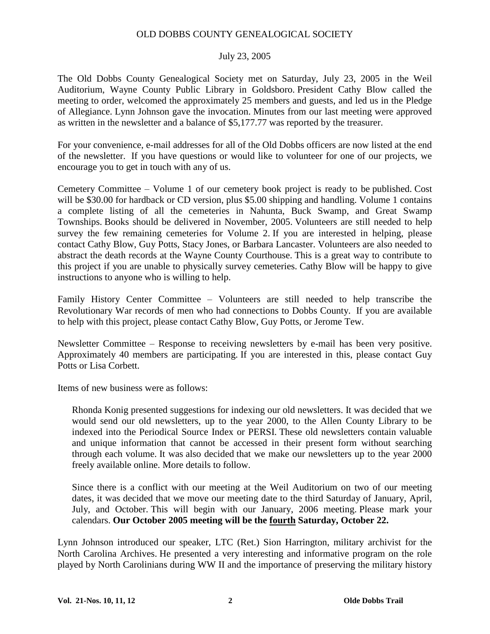#### OLD DOBBS COUNTY GENEALOGICAL SOCIETY

#### July 23, 2005

The Old Dobbs County Genealogical Society met on Saturday, July 23, 2005 in the Weil Auditorium, Wayne County Public Library in Goldsboro. President Cathy Blow called the meeting to order, welcomed the approximately 25 members and guests, and led us in the Pledge of Allegiance. Lynn Johnson gave the invocation. Minutes from our last meeting were approved as written in the newsletter and a balance of \$5,177.77 was reported by the treasurer.

For your convenience, e-mail addresses for all of the Old Dobbs officers are now listed at the end of the newsletter. If you have questions or would like to volunteer for one of our projects, we encourage you to get in touch with any of us.

Cemetery Committee – Volume 1 of our cemetery book project is ready to be published. Cost will be \$30.00 for hardback or CD version, plus \$5.00 shipping and handling. Volume 1 contains a complete listing of all the cemeteries in Nahunta, Buck Swamp, and Great Swamp Townships. Books should be delivered in November, 2005. Volunteers are still needed to help survey the few remaining cemeteries for Volume 2. If you are interested in helping, please contact Cathy Blow, Guy Potts, Stacy Jones, or Barbara Lancaster. Volunteers are also needed to abstract the death records at the Wayne County Courthouse. This is a great way to contribute to this project if you are unable to physically survey cemeteries. Cathy Blow will be happy to give instructions to anyone who is willing to help.

Family History Center Committee – Volunteers are still needed to help transcribe the Revolutionary War records of men who had connections to Dobbs County. If you are available to help with this project, please contact Cathy Blow, Guy Potts, or Jerome Tew.

Newsletter Committee – Response to receiving newsletters by e-mail has been very positive. Approximately 40 members are participating. If you are interested in this, please contact Guy Potts or Lisa Corbett.

Items of new business were as follows:

Rhonda Konig presented suggestions for indexing our old newsletters. It was decided that we would send our old newsletters, up to the year 2000, to the Allen County Library to be indexed into the Periodical Source Index or PERSI. These old newsletters contain valuable and unique information that cannot be accessed in their present form without searching through each volume. It was also decided that we make our newsletters up to the year 2000 freely available online. More details to follow.

Since there is a conflict with our meeting at the Weil Auditorium on two of our meeting dates, it was decided that we move our meeting date to the third Saturday of January, April, July, and October. This will begin with our January, 2006 meeting. Please mark your calendars. **Our October 2005 meeting will be the fourth Saturday, October 22.**

Lynn Johnson introduced our speaker, LTC (Ret.) Sion Harrington, military archivist for the North Carolina Archives. He presented a very interesting and informative program on the role played by North Carolinians during WW II and the importance of preserving the military history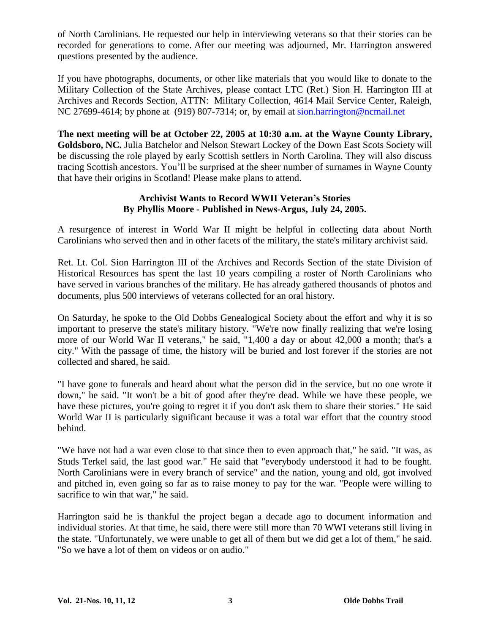of North Carolinians. He requested our help in interviewing veterans so that their stories can be recorded for generations to come. After our meeting was adjourned, Mr. Harrington answered questions presented by the audience.

If you have photographs, documents, or other like materials that you would like to donate to the Military Collection of the State Archives, please contact LTC (Ret.) Sion H. Harrington III at Archives and Records Section, ATTN: Military Collection, 4614 Mail Service Center, Raleigh, NC 27699-4614; by phone at (919) 807-7314; or, by email at sion.harrington@ncmail.net

**The next meeting will be at October 22, 2005 at 10:30 a.m. at the Wayne County Library, Goldsboro, NC.** Julia Batchelor and Nelson Stewart Lockey of the Down East Scots Society will be discussing the role played by early Scottish settlers in North Carolina. They will also discuss tracing Scottish ancestors. You'll be surprised at the sheer number of surnames in Wayne County that have their origins in Scotland! Please make plans to attend.

#### **Archivist Wants to Record WWII Veteran's Stories By Phyllis Moore - Published in News-Argus, July 24, 2005.**

A resurgence of interest in World War II might be helpful in collecting data about North Carolinians who served then and in other facets of the military, the state's military archivist said.

Ret. Lt. Col. Sion Harrington III of the Archives and Records Section of the state Division of Historical Resources has spent the last 10 years compiling a roster of North Carolinians who have served in various branches of the military. He has already gathered thousands of photos and documents, plus 500 interviews of veterans collected for an oral history.

On Saturday, he spoke to the Old Dobbs Genealogical Society about the effort and why it is so important to preserve the state's military history. "We're now finally realizing that we're losing more of our World War II veterans," he said, "1,400 a day or about 42,000 a month; that's a city." With the passage of time, the history will be buried and lost forever if the stories are not collected and shared, he said.

"I have gone to funerals and heard about what the person did in the service, but no one wrote it down," he said. "It won't be a bit of good after they're dead. While we have these people, we have these pictures, you're going to regret it if you don't ask them to share their stories." He said World War II is particularly significant because it was a total war effort that the country stood behind.

"We have not had a war even close to that since then to even approach that," he said. "It was, as Studs Terkel said, the last good war." He said that "everybody understood it had to be fought. North Carolinians were in every branch of service" and the nation, young and old, got involved and pitched in, even going so far as to raise money to pay for the war. "People were willing to sacrifice to win that war," he said.

Harrington said he is thankful the project began a decade ago to document information and individual stories. At that time, he said, there were still more than 70 WWI veterans still living in the state. "Unfortunately, we were unable to get all of them but we did get a lot of them," he said. "So we have a lot of them on videos or on audio."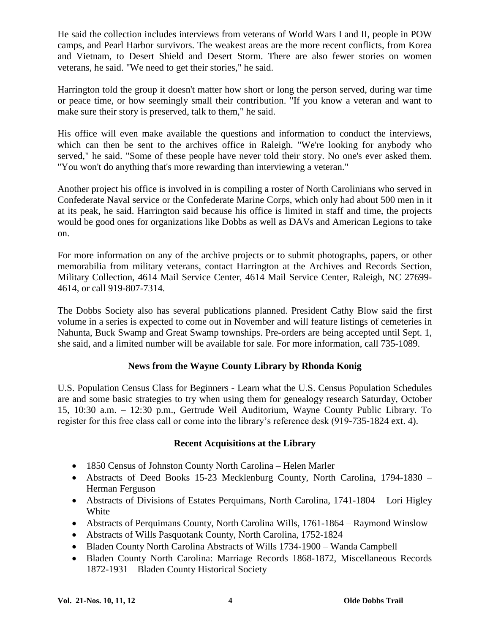He said the collection includes interviews from veterans of World Wars I and II, people in POW camps, and Pearl Harbor survivors. The weakest areas are the more recent conflicts, from Korea and Vietnam, to Desert Shield and Desert Storm. There are also fewer stories on women veterans, he said. "We need to get their stories," he said.

Harrington told the group it doesn't matter how short or long the person served, during war time or peace time, or how seemingly small their contribution. "If you know a veteran and want to make sure their story is preserved, talk to them," he said.

His office will even make available the questions and information to conduct the interviews, which can then be sent to the archives office in Raleigh. "We're looking for anybody who served," he said. "Some of these people have never told their story. No one's ever asked them. "You won't do anything that's more rewarding than interviewing a veteran."

Another project his office is involved in is compiling a roster of North Carolinians who served in Confederate Naval service or the Confederate Marine Corps, which only had about 500 men in it at its peak, he said. Harrington said because his office is limited in staff and time, the projects would be good ones for organizations like Dobbs as well as DAVs and American Legions to take on.

For more information on any of the archive projects or to submit photographs, papers, or other memorabilia from military veterans, contact Harrington at the Archives and Records Section, Military Collection, 4614 Mail Service Center, 4614 Mail Service Center, Raleigh, NC 27699- 4614, or call 919-807-7314.

The Dobbs Society also has several publications planned. President Cathy Blow said the first volume in a series is expected to come out in November and will feature listings of cemeteries in Nahunta, Buck Swamp and Great Swamp townships. Pre-orders are being accepted until Sept. 1, she said, and a limited number will be available for sale. For more information, call 735-1089.

## **News from the Wayne County Library by Rhonda Konig**

U.S. Population Census Class for Beginners - Learn what the U.S. Census Population Schedules are and some basic strategies to try when using them for genealogy research Saturday, October 15, 10:30 a.m. –12:30 p.m., Gertrude Weil Auditorium, Wayne County Public Library. To register for this free class call or come into the library's reference desk (919-735-1824 ext. 4).

## **Recent Acquisitions at the Library**

- 1850 Census of Johnston County North Carolina Helen Marler
- Abstracts of Deed Books 15-23 Mecklenburg County, North Carolina, 1794-1830 Herman Ferguson
- Abstracts of Divisions of Estates Perquimans, North Carolina, 1741-1804 Lori Higley White
- Abstracts of Perquimans County, North Carolina Wills, 1761-1864 Raymond Winslow
- Abstracts of Wills Pasquotank County, North Carolina, 1752-1824
- Bladen County North Carolina Abstracts of Wills 1734-1900 Wanda Campbell
- Bladen County North Carolina: Marriage Records 1868-1872, Miscellaneous Records 1872-1931 –Bladen County Historical Society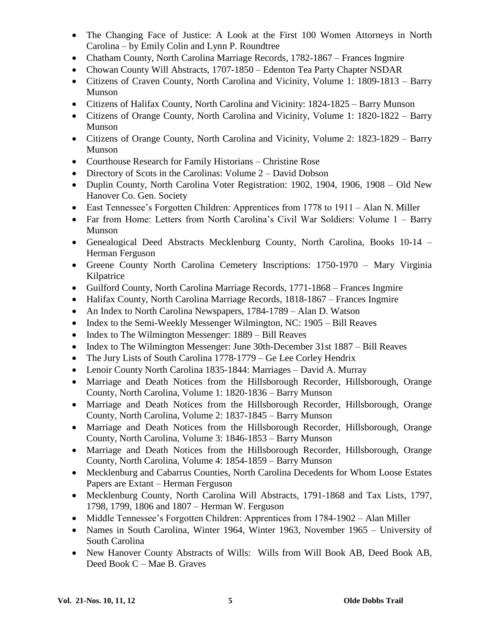- The Changing Face of Justice: A Look at the First 100 Women Attorneys in North Carolina –by Emily Colin and Lynn P. Roundtree
- Chatham County, North Carolina Marriage Records, 1782-1867 Frances Ingmire
- Chowan County Will Abstracts, 1707-1850 Edenton Tea Party Chapter NSDAR
- Citizens of Craven County, North Carolina and Vicinity, Volume 1: 1809-1813 Barry Munson
- Citizens of Halifax County, North Carolina and Vicinity: 1824-1825 Barry Munson
- Citizens of Orange County, North Carolina and Vicinity, Volume 1: 1820-1822 Barry Munson
- Citizens of Orange County, North Carolina and Vicinity, Volume 2: 1823-1829 Barry Munson
- Courthouse Research for Family Historians Christine Rose
- Directory of Scots in the Carolinas: Volume  $2 -$  David Dobson
- Duplin County, North Carolina Voter Registration: 1902, 1904, 1906, 1908 Old New Hanover Co. Gen. Society
- East Tennessee's Forgotten Children: Apprentices from 1778 to 1911 Alan N. Miller
- Far from Home: Letters from North Carolina's Civil War Soldiers: Volume 1 Barry Munson
- Genealogical Deed Abstracts Mecklenburg County, North Carolina, Books 10-14 Herman Ferguson
- Greene County North Carolina Cemetery Inscriptions: 1750-1970 Mary Virginia Kilpatrice
- Guilford County, North Carolina Marriage Records, 1771-1868 Frances Ingmire
- Halifax County, North Carolina Marriage Records, 1818-1867 Frances Ingmire
- An Index to North Carolina Newspapers, 1784-1789 Alan D. Watson
- Index to the Semi-Weekly Messenger Wilmington, NC:  $1905 Bill Reaves$
- $\bullet$  Index to The Wilmington Messenger: 1889 Bill Reaves
- Index to The Wilmington Messenger: June 30th-December 31st 1887 Bill Reaves
- The Jury Lists of South Carolina 1778-1779 Ge Lee Corley Hendrix
- Lenoir County North Carolina 1835-1844: Marriages David A. Murray
- Marriage and Death Notices from the Hillsborough Recorder, Hillsborough, Orange County, North Carolina, Volume 1: 1820-1836 – Barry Munson
- Marriage and Death Notices from the Hillsborough Recorder, Hillsborough, Orange County, North Carolina, Volume 2: 1837-1845 – Barry Munson
- Marriage and Death Notices from the Hillsborough Recorder, Hillsborough, Orange County, North Carolina, Volume 3: 1846-1853 – Barry Munson
- Marriage and Death Notices from the Hillsborough Recorder, Hillsborough, Orange County, North Carolina, Volume 4: 1854-1859 – Barry Munson
- Mecklenburg and Cabarrus Counties, North Carolina Decedents for Whom Loose Estates Papers are Extant – Herman Ferguson
- Mecklenburg County, North Carolina Will Abstracts, 1791-1868 and Tax Lists, 1797, 1798, 1799, 1806 and 1807 –Herman W. Ferguson
- Middle Tennessee's Forgotten Children: Apprentices from 1784-1902 Alan Miller
- Names in South Carolina, Winter 1964, Winter 1963, November 1965 University of South Carolina
- New Hanover County Abstracts of Wills: Wills from Will Book AB, Deed Book AB, Deed Book C – Mae B. Graves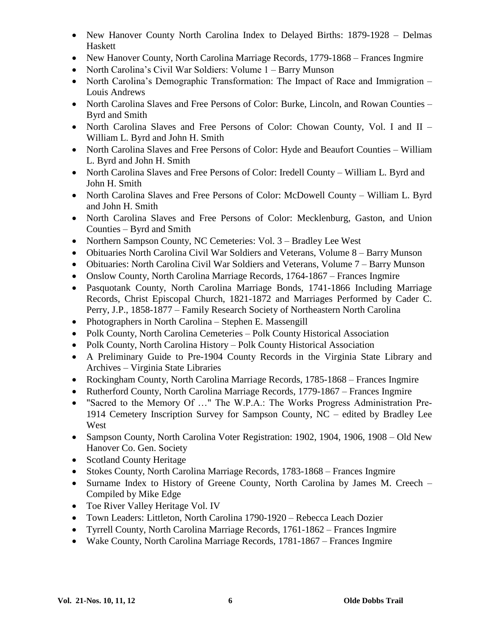- New Hanover County North Carolina Index to Delayed Births: 1879-1928 Delmas Haskett
- New Hanover County, North Carolina Marriage Records, 1779-1868 Frances Ingmire
- North Carolina's Civil War Soldiers: Volume 1 Barry Munson
- North Carolina's Demographic Transformation: The Impact of Race and Immigration Louis Andrews
- North Carolina Slaves and Free Persons of Color: Burke, Lincoln, and Rowan Counties Byrd and Smith
- North Carolina Slaves and Free Persons of Color: Chowan County, Vol. I and II William L. Byrd and John H. Smith
- North Carolina Slaves and Free Persons of Color: Hyde and Beaufort Counties William L. Byrd and John H. Smith
- North Carolina Slaves and Free Persons of Color: Iredell County William L. Byrd and John H. Smith
- North Carolina Slaves and Free Persons of Color: McDowell County William L. Byrd and John H. Smith
- North Carolina Slaves and Free Persons of Color: Mecklenburg, Gaston, and Union Counties –Byrd and Smith
- Northern Sampson County, NC Cemeteries: Vol. 3 Bradley Lee West
- Obituaries North Carolina Civil War Soldiers and Veterans, Volume 8 Barry Munson
- Obituaries: North Carolina Civil War Soldiers and Veterans, Volume 7 Barry Munson
- Onslow County, North Carolina Marriage Records, 1764-1867 Frances Ingmire
- Pasquotank County, North Carolina Marriage Bonds, 1741-1866 Including Marriage Records, Christ Episcopal Church, 1821-1872 and Marriages Performed by Cader C. Perry, J.P., 1858-1877 –Family Research Society of Northeastern North Carolina
- Photographers in North Carolina Stephen E. Massengill
- Polk County, North Carolina Cemeteries Polk County Historical Association
- Polk County, North Carolina History Polk County Historical Association
- A Preliminary Guide to Pre-1904 County Records in the Virginia State Library and Archives –Virginia State Libraries
- Rockingham County, North Carolina Marriage Records, 1785-1868 Frances Ingmire
- Rutherford County, North Carolina Marriage Records, 1779-1867 Frances Ingmire
- "Sacred to the Memory Of ..." The W.P.A.: The Works Progress Administration Pre-1914 Cemetery Inscription Survey for Sampson County, NC –edited by Bradley Lee West
- Sampson County, North Carolina Voter Registration: 1902, 1904, 1906, 1908 Old New Hanover Co. Gen. Society
- Scotland County Heritage
- Stokes County, North Carolina Marriage Records, 1783-1868 Frances Ingmire
- Surname Index to History of Greene County, North Carolina by James M. Creech Compiled by Mike Edge
- Toe River Valley Heritage Vol. IV
- Town Leaders: Littleton, North Carolina 1790-1920 Rebecca Leach Dozier
- Tyrrell County, North Carolina Marriage Records, 1761-1862 Frances Ingmire
- Wake County, North Carolina Marriage Records, 1781-1867 Frances Ingmire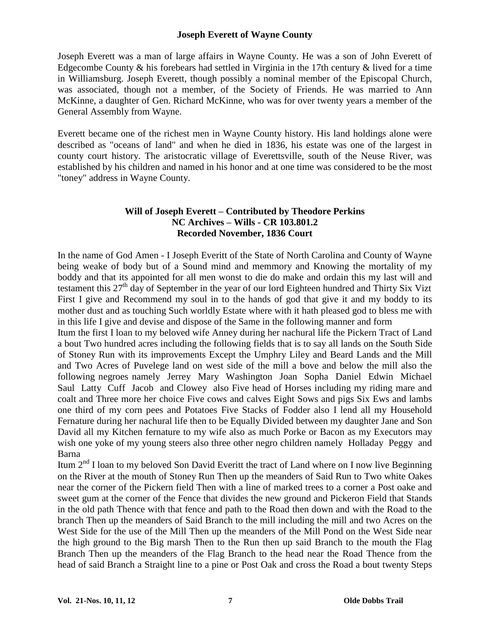#### **Joseph Everett of Wayne County**

Joseph Everett was a man of large affairs in Wayne County. He was a son of John Everett of Edgecombe County  $\&$  his forebears had settled in Virginia in the 17th century  $\&$  lived for a time in Williamsburg. Joseph Everett, though possibly a nominal member of the Episcopal Church, was associated, though not a member, of the Society of Friends. He was married to Ann McKinne, a daughter of Gen. Richard McKinne, who was for over twenty years a member of the General Assembly from Wayne.

Everett became one of the richest men in Wayne County history. His land holdings alone were described as "oceans of land" and when he died in 1836, his estate was one of the largest in county court history. The aristocratic village of Everettsville, south of the Neuse River, was established by his children and named in his honor and at one time was considered to be the most "toney" address in Wayne County.

#### **Will of Joseph Everett –Contributed by Theodore Perkins NC Archives –Wills - CR 103.801.2 Recorded November, 1836 Court**

In the name of God Amen - I Joseph Everitt of the State of North Carolina and County of Wayne being weake of body but of a Sound mind and memmory and Knowing the mortality of my boddy and that its appointed for all men wonst to die do make and ordain this my last will and testament this 27<sup>th</sup> day of September in the year of our lord Eighteen hundred and Thirty Six Vizt First I give and Recommend my soul in to the hands of god that give it and my boddy to its mother dust and as touching Such worldly Estate where with it hath pleased god to bless me with in this life I give and devise and dispose of the Same in the following manner and form

Itum the first I loan to my beloved wife Anney during her nachural life the Pickern Tract of Land a bout Two hundred acres including the following fields that is to say all lands on the South Side of Stoney Run with its improvements Except the Umphry Liley and Beard Lands and the Mill and Two Acres of Puvelege land on west side of the mill a bove and below the mill also the following negroes namely Jerrey Mary Washington Joan Sopha Daniel Edwin Michael Saul Latty Cuff Jacob and Clowey also Five head of Horses including my riding mare and coalt and Three more her choice Five cows and calves Eight Sows and pigs Six Ews and lambs one third of my corn pees and Potatoes Five Stacks of Fodder also I lend all my Household Fernature during her nachural life then to be Equally Divided between my daughter Jane and Son David all my Kitchen fernature to my wife also as much Porke or Bacon as my Executors may wish one yoke of my young steers also three other negro children namely Holladay Peggy and Barna

Itum 2<sup>nd</sup> I loan to my beloved Son David Everitt the tract of Land where on I now live Beginning on the River at the mouth of Stoney Run Then up the meanders of Said Run to Two white Oakes near the corner of the Pickern field Then with a line of marked trees to a corner a Post oake and sweet gum at the corner of the Fence that divides the new ground and Pickeron Field that Stands in the old path Thence with that fence and path to the Road then down and with the Road to the branch Then up the meanders of Said Branch to the mill including the mill and two Acres on the West Side for the use of the Mill Then up the meanders of the Mill Pond on the West Side near the high ground to the Big marsh Then to the Run then up said Branch to the mouth the Flag Branch Then up the meanders of the Flag Branch to the head near the Road Thence from the head of said Branch a Straight line to a pine or Post Oak and cross the Road a bout twenty Steps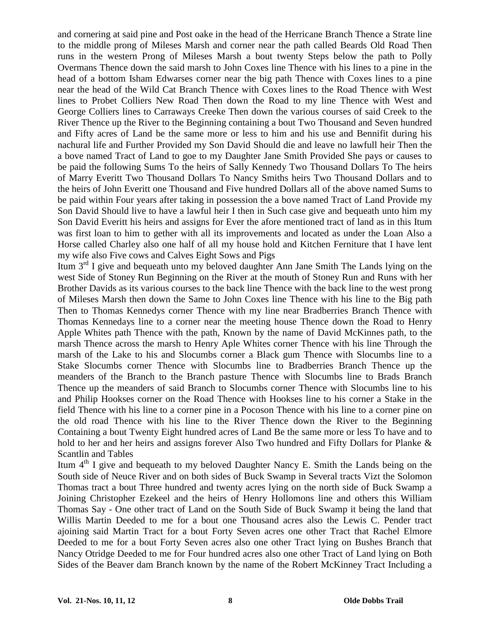and cornering at said pine and Post oake in the head of the Herricane Branch Thence a Strate line to the middle prong of Mileses Marsh and corner near the path called Beards Old Road Then runs in the western Prong of Mileses Marsh a bout twenty Steps below the path to Polly Overmans Thence down the said marsh to John Coxes line Thence with his lines to a pine in the head of a bottom Isham Edwarses corner near the big path Thence with Coxes lines to a pine near the head of the Wild Cat Branch Thence with Coxes lines to the Road Thence with West lines to Probet Colliers New Road Then down the Road to my line Thence with West and George Colliers lines to Carraways Creeke Then down the various courses of said Creek to the River Thence up the River to the Beginning containing a bout Two Thousand and Seven hundred and Fifty acres of Land be the same more or less to him and his use and Bennifit during his nachural life and Further Provided my Son David Should die and leave no lawfull heir Then the a bove named Tract of Land to goe to my Daughter Jane Smith Provided She pays or causes to be paid the following Sums To the heirs of Sally Kennedy Two Thousand Dollars To The heirs of Marry Everitt Two Thousand Dollars To Nancy Smiths heirs Two Thousand Dollars and to the heirs of John Everitt one Thousand and Five hundred Dollars all of the above named Sums to be paid within Four years after taking in possession the a bove named Tract of Land Provide my Son David Should live to have a lawful heir I then in Such case give and bequeath unto him my Son David Everitt his heirs and assigns for Ever the afore mentioned tract of land as in this Itum was first loan to him to gether with all its improvements and located as under the Loan Also a Horse called Charley also one half of all my house hold and Kitchen Ferniture that I have lent my wife also Five cows and Calves Eight Sows and Pigs

Itum  $3<sup>rd</sup>$  I give and bequeath unto my beloved daughter Ann Jane Smith The Lands lying on the west Side of Stoney Run Beginning on the River at the mouth of Stoney Run and Runs with her Brother Davids as its various courses to the back line Thence with the back line to the west prong of Mileses Marsh then down the Same to John Coxes line Thence with his line to the Big path Then to Thomas Kennedys corner Thence with my line near Bradberries Branch Thence with Thomas Kennedays line to a corner near the meeting house Thence down the Road to Henry Apple Whites path Thence with the path, Known by the name of David McKinnes path, to the marsh Thence across the marsh to Henry Aple Whites corner Thence with his line Through the marsh of the Lake to his and Slocumbs corner a Black gum Thence with Slocumbs line to a Stake Slocumbs corner Thence with Slocumbs line to Bradberries Branch Thence up the meanders of the Branch to the Branch pasture Thence with Slocumbs line to Brads Branch Thence up the meanders of said Branch to Slocumbs corner Thence with Slocumbs line to his and Philip Hookses corner on the Road Thence with Hookses line to his corner a Stake in the field Thence with his line to a corner pine in a Pocoson Thence with his line to a corner pine on the old road Thence with his line to the River Thence down the River to the Beginning Containing a bout Twenty Eight hundred acres of Land Be the same more or less To have and to hold to her and her heirs and assigns forever Also Two hundred and Fifty Dollars for Planke & Scantlin and Tables

Itum 4<sup>th</sup> I give and bequeath to my beloved Daughter Nancy E. Smith the Lands being on the South side of Neuce River and on both sides of Buck Swamp in Several tracts Vizt the Solomon Thomas tract a bout Three hundred and twenty acres lying on the north side of Buck Swamp a Joining Christopher Ezekeel and the heirs of Henry Hollomons line and others this William Thomas Say - One other tract of Land on the South Side of Buck Swamp it being the land that Willis Martin Deeded to me for a bout one Thousand acres also the Lewis C. Pender tract ajoining said Martin Tract for a bout Forty Seven acres one other Tract that Rachel Elmore Deeded to me for a bout Forty Seven acres also one other Tract lying on Bushes Branch that Nancy Otridge Deeded to me for Four hundred acres also one other Tract of Land lying on Both Sides of the Beaver dam Branch known by the name of the Robert McKinney Tract Including a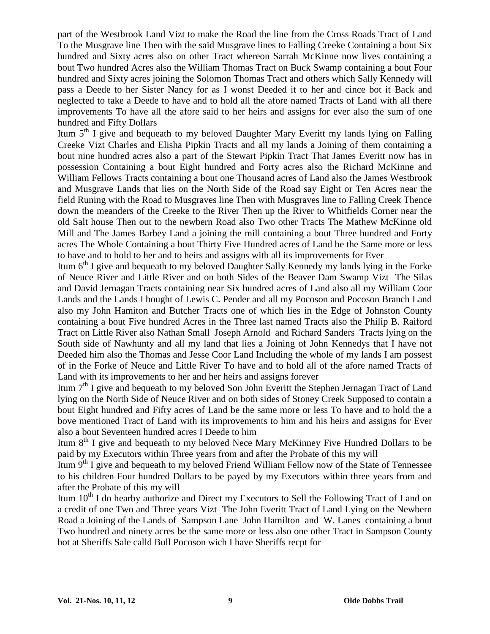part of the Westbrook Land Vizt to make the Road the line from the Cross Roads Tract of Land To the Musgrave line Then with the said Musgrave lines to Falling Creeke Containing a bout Six hundred and Sixty acres also on other Tract whereon Sarrah McKinne now lives containing a bout Two hundred Acres also the William Thomas Tract on Buck Swamp containing a bout Four hundred and Sixty acres joining the Solomon Thomas Tract and others which Sally Kennedy will pass a Deede to her Sister Nancy for as I wonst Deeded it to her and cince bot it Back and neglected to take a Deede to have and to hold all the afore named Tracts of Land with all there improvements To have all the afore said to her heirs and assigns for ever also the sum of one hundred and Fifty Dollars

Itum  $5<sup>th</sup>$  I give and bequeath to my beloved Daughter Mary Everitt my lands lying on Falling Creeke Vizt Charles and Elisha Pipkin Tracts and all my lands a Joining of them containing a bout nine hundred acres also a part of the Stewart Pipkin Tract That James Everitt now has in possession Containing a bout Eight hundred and Forty acres also the Richard McKinne and William Fellows Tracts containing a bout one Thousand acres of Land also the James Westbrook and Musgrave Lands that lies on the North Side of the Road say Eight or Ten Acres near the field Runing with the Road to Musgraves line Then with Musgraves line to Falling Creek Thence down the meanders of the Creeke to the River Then up the River to Whitfields Corner near the old Salt house Then out to the newbern Road also Two other Tracts The Mathew McKinne old Mill and The James Barbey Land a joining the mill containing a bout Three hundred and Forty acres The Whole Containing a bout Thirty Five Hundred acres of Land be the Same more or less to have and to hold to her and to heirs and assigns with all its improvements for Ever

Itum  $6<sup>th</sup>$  I give and bequeath to my beloved Daughter Sally Kennedy my lands lying in the Forke of Neuce River and Little River and on both Sides of the Beaver Dam Swamp Vizt The Silas and David Jernagan Tracts containing near Six hundred acres of Land also all my William Coor Lands and the Lands I bought of Lewis C. Pender and all my Pocoson and Pocoson Branch Land also my John Hamiton and Butcher Tracts one of which lies in the Edge of Johnston County containing a bout Five hundred Acres in the Three last named Tracts also the Philip B. Raiford Tract on Little River also Nathan Small Joseph Arnold and Richard Sanders Tracts lying on the South side of Nawhunty and all my land that lies a Joining of John Kennedys that I have not Deeded him also the Thomas and Jesse Coor Land Including the whole of my lands I am possest of in the Forke of Neuce and Little River To have and to hold all of the afore named Tracts of Land with its improvements to her and her heirs and assigns forever

Itum  $7<sup>th</sup>$  I give and bequeath to my beloved Son John Everitt the Stephen Jernagan Tract of Land lying on the North Side of Neuce River and on both sides of Stoney Creek Supposed to contain a bout Eight hundred and Fifty acres of Land be the same more or less To have and to hold the a bove mentioned Tract of Land with its improvements to him and his heirs and assigns for Ever also a bout Seventeen hundred acres I Deede to him

Itum 8<sup>th</sup> I give and bequeath to my beloved Nece Mary McKinney Five Hundred Dollars to be paid by my Executors within Three years from and after the Probate of this my will

Itum  $9<sup>th</sup>$  I give and bequeath to my beloved Friend William Fellow now of the State of Tennessee to his children Four hundred Dollars to be payed by my Executors within three years from and after the Probate of this my will

Itum  $10<sup>th</sup>$  I do hearby authorize and Direct my Executors to Sell the Following Tract of Land on a credit of one Two and Three years Vizt The John Everitt Tract of Land Lying on the Newbern Road a Joining of the Lands of Sampson Lane John Hamilton and W. Lanes containing a bout Two hundred and ninety acres be the same more or less also one other Tract in Sampson County bot at Sheriffs Sale calld Bull Pocoson wich I have Sheriffs recpt for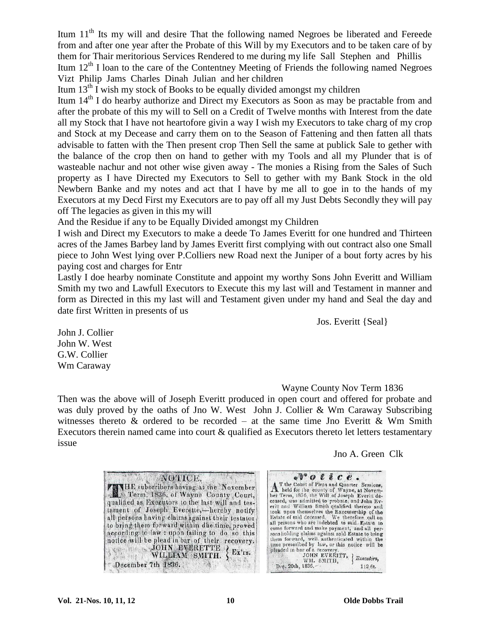Itum 11<sup>th</sup> Its my will and desire That the following named Negroes be liberated and Fereede from and after one year after the Probate of this Will by my Executors and to be taken care of by them for Thair meritorious Services Rendered to me during my life Sall Stephen and Phillis Itum  $12<sup>th</sup>$  I loan to the care of the Contentney Meeting of Friends the following named Negroes Vizt Philip Jams Charles Dinah Julian and her children

Itum  $13<sup>th</sup>$  I wish my stock of Books to be equally divided amongst my children

Itum  $14<sup>th</sup>$  I do hearby authorize and Direct my Executors as Soon as may be practable from and after the probate of this my will to Sell on a Credit of Twelve months with Interest from the date all my Stock that I have not heartofore givin a way I wish my Executors to take charg of my crop and Stock at my Decease and carry them on to the Season of Fattening and then fatten all thats advisable to fatten with the Then present crop Then Sell the same at publick Sale to gether with the balance of the crop then on hand to gether with my Tools and all my Plunder that is of wasteable nachur and not other wise given away - The monies a Rising from the Sales of Such property as I have Directed my Executors to Sell to gether with my Bank Stock in the old Newbern Banke and my notes and act that I have by me all to goe in to the hands of my Executors at my Decd First my Executors are to pay off all my Just Debts Secondly they will pay off The legacies as given in this my will

And the Residue if any to be Equally Divided amongst my Children

I wish and Direct my Executors to make a deede To James Everitt for one hundred and Thirteen acres of the James Barbey land by James Everitt first complying with out contract also one Small piece to John West lying over P.Colliers new Road next the Juniper of a bout forty acres by his paying cost and charges for Entr

Lastly I doe hearby nominate Constitute and appoint my worthy Sons John Everitt and William Smith my two and Lawfull Executors to Execute this my last will and Testament in manner and form as Directed in this my last will and Testament given under my hand and Seal the day and date first Written in presents of us

Jos. Everitt {Seal}

John J. Collier John W. West G.W. Collier Wm Caraway

#### Wayne County Nov Term 1836

Then was the above will of Joseph Everitt produced in open court and offered for probate and was duly proved by the oaths of Jno W. West John J. Collier & Wm Caraway Subscribing witnesses thereto  $\&$  ordered to be recorded – at the same time Jno Everitt  $\&$  Wm Smith Executors therein named came into court  $\&$  qualified as Executors thereto let letters testamentary issue

Jno A. Green Clk

| NOTICE.                                                                                      |
|----------------------------------------------------------------------------------------------|
| <b>FENTHE</b> subscribers having at the November                                             |
| Term, 1836, of Wayne County Court,                                                           |
| qualified as Executors to the last will and tes-<br>tament of Joseph Everette,-hereby notify |
| all persons having claims against their testator                                             |
| to bring them forward within due time, proved                                                |
| according to law : upon failing to do so this                                                |
| notice will be plead in bar of their recovery.<br>JOHN EVERETTE / Ex'rs.                     |
| WILLIAM SMITH.                                                                               |
| December 7th 1836.                                                                           |

 $\sqrt{v}$  *otice*. The Court of Pleas and Quarter Sessions,<br>
A The Court of Pleas and Quarter Sessions,<br>
held for the county of Wayne, at Novem-<br>
ber Term, 1836, the Will of Joseph Everitt de-<br>
ceased, was admitted to probate, and John Everi all persons who are indebted to said. Estate to<br>come forward and make payment, and all per-<br>sons holding claims against said Estate to bring<br>them forward, well, authenticated within the<br>time prescribed by law, or this noti Dec. 20th, 1836. 112.6t.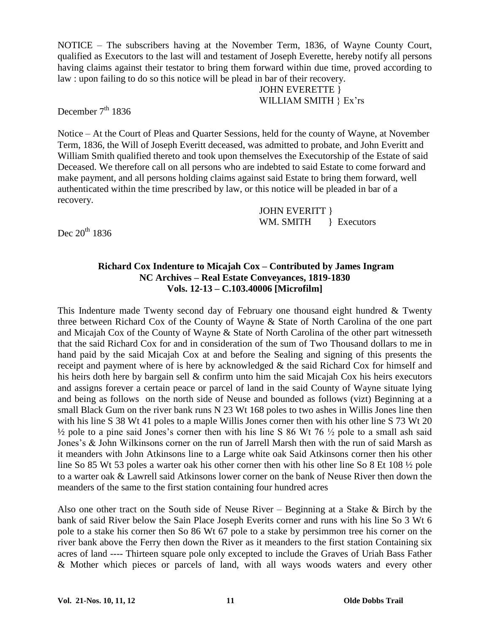NOTICE –The subscribers having at the November Term, 1836, of Wayne County Court, qualified as Executors to the last will and testament of Joseph Everette, hereby notify all persons having claims against their testator to bring them forward within due time, proved according to law : upon failing to do so this notice will be plead in bar of their recovery.

JOHN EVERETTE } WILLIAM SMITH } Ex'rs

December  $7<sup>th</sup> 1836$ 

Notice –At the Court of Pleas and Quarter Sessions, held for the county of Wayne, at November Term, 1836, the Will of Joseph Everitt deceased, was admitted to probate, and John Everitt and William Smith qualified thereto and took upon themselves the Executorship of the Estate of said Deceased. We therefore call on all persons who are indebted to said Estate to come forward and make payment, and all persons holding claims against said Estate to bring them forward, well authenticated within the time prescribed by law, or this notice will be pleaded in bar of a recovery.

> JOHN EVERITT } WM. SMITH } Executors

Dec  $20^{th}$  1836

#### **Richard Cox Indenture to Micajah Cox –Contributed by James Ingram NC Archives –Real Estate Conveyances, 1819-1830 Vols. 12-13 –C.103.40006 [Microfilm]**

This Indenture made Twenty second day of February one thousand eight hundred  $\&$  Twenty three between Richard Cox of the County of Wayne & State of North Carolina of the one part and Micajah Cox of the County of Wayne & State of North Carolina of the other part witnesseth that the said Richard Cox for and in consideration of the sum of Two Thousand dollars to me in hand paid by the said Micajah Cox at and before the Sealing and signing of this presents the receipt and payment where of is here by acknowledged & the said Richard Cox for himself and his heirs doth here by bargain sell & confirm unto him the said Micajah Cox his heirs executors and assigns forever a certain peace or parcel of land in the said County of Wayne situate lying and being as follows on the north side of Neuse and bounded as follows (vizt) Beginning at a small Black Gum on the river bank runs N 23 Wt 168 poles to two ashes in Willis Jones line then with his line S 38 Wt 41 poles to a maple Willis Jones corner then with his other line S 73 Wt 20  $\frac{1}{2}$  pole to a pine said Jones's corner then with his line S 86 Wt 76  $\frac{1}{2}$  pole to a small ash said Jones's & John Wilkinsons corner on the run of Jarrell Marsh then with the run of said Marsh as it meanders with John Atkinsons line to a Large white oak Said Atkinsons corner then his other line So 85 Wt 53 poles a warter oak his other corner then with his other line So 8 Et 108 ½ pole to a warter oak & Lawrell said Atkinsons lower corner on the bank of Neuse River then down the meanders of the same to the first station containing four hundred acres

Also one other tract on the South side of Neuse River – Beginning at a Stake  $\&$  Birch by the bank of said River below the Sain Place Joseph Everits corner and runs with his line So 3 Wt 6 pole to a stake his corner then So 86 Wt 67 pole to a stake by persimmon tree his corner on the river bank above the Ferry then down the River as it meanders to the first station Containing six acres of land ---- Thirteen square pole only excepted to include the Graves of Uriah Bass Father & Mother which pieces or parcels of land, with all ways woods waters and every other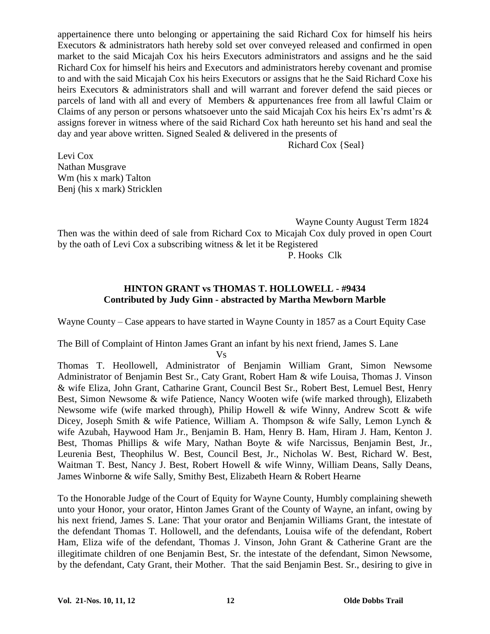appertainence there unto belonging or appertaining the said Richard Cox for himself his heirs Executors & administrators hath hereby sold set over conveyed released and confirmed in open market to the said Micajah Cox his heirs Executors administrators and assigns and he the said Richard Cox for himself his heirs and Executors and administrators hereby covenant and promise to and with the said Micajah Cox his heirs Executors or assigns that he the Said Richard Coxe his heirs Executors & administrators shall and will warrant and forever defend the said pieces or parcels of land with all and every of Members & appurtenances free from all lawful Claim or Claims of any person or persons whatsoever unto the said Micajah Cox his heirs Ex'rs admt'rs  $\&$ assigns forever in witness where of the said Richard Cox hath hereunto set his hand and seal the day and year above written. Signed Sealed & delivered in the presents of

Richard Cox {Seal}

Levi Cox Nathan Musgrave Wm (his x mark) Talton Benj (his x mark) Stricklen

Wayne County August Term 1824

Then was the within deed of sale from Richard Cox to Micajah Cox duly proved in open Court by the oath of Levi Cox a subscribing witness & let it be Registered P. Hooks Clk

#### **HINTON GRANT vs THOMAS T. HOLLOWELL - #9434 Contributed by Judy Ginn - abstracted by Martha Mewborn Marble**

Wayne County –Case appears to have started in Wayne County in 1857 as a Court Equity Case

The Bill of Complaint of Hinton James Grant an infant by his next friend, James S. Lane

Vs

Thomas T. Heollowell, Administrator of Benjamin William Grant, Simon Newsome Administrator of Benjamin Best Sr., Caty Grant, Robert Ham & wife Louisa, Thomas J. Vinson & wife Eliza, John Grant, Catharine Grant, Council Best Sr., Robert Best, Lemuel Best, Henry Best, Simon Newsome & wife Patience, Nancy Wooten wife (wife marked through), Elizabeth Newsome wife (wife marked through), Philip Howell & wife Winny, Andrew Scott & wife Dicey, Joseph Smith & wife Patience, William A. Thompson & wife Sally, Lemon Lynch & wife Azubah, Haywood Ham Jr., Benjamin B. Ham, Henry B. Ham, Hiram J. Ham, Kenton J. Best, Thomas Phillips & wife Mary, Nathan Boyte & wife Narcissus, Benjamin Best, Jr., Leurenia Best, Theophilus W. Best, Council Best, Jr., Nicholas W. Best, Richard W. Best, Waitman T. Best, Nancy J. Best, Robert Howell & wife Winny, William Deans, Sally Deans, James Winborne & wife Sally, Smithy Best, Elizabeth Hearn & Robert Hearne

To the Honorable Judge of the Court of Equity for Wayne County, Humbly complaining sheweth unto your Honor, your orator, Hinton James Grant of the County of Wayne, an infant, owing by his next friend, James S. Lane: That your orator and Benjamin Williams Grant, the intestate of the defendant Thomas T. Hollowell, and the defendants, Louisa wife of the defendant, Robert Ham, Eliza wife of the defendant, Thomas J. Vinson, John Grant & Catherine Grant are the illegitimate children of one Benjamin Best, Sr. the intestate of the defendant, Simon Newsome, by the defendant, Caty Grant, their Mother. That the said Benjamin Best. Sr., desiring to give in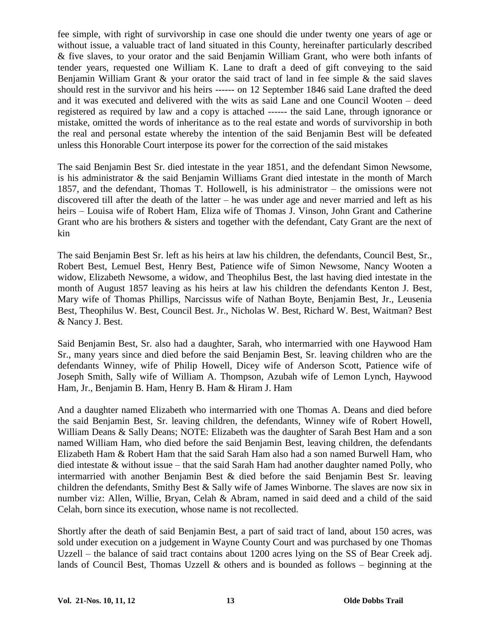fee simple, with right of survivorship in case one should die under twenty one years of age or without issue, a valuable tract of land situated in this County, hereinafter particularly described & five slaves, to your orator and the said Benjamin William Grant, who were both infants of tender years, requested one William K. Lane to draft a deed of gift conveying to the said Benjamin William Grant & your orator the said tract of land in fee simple & the said slaves should rest in the survivor and his heirs ------ on 12 September 1846 said Lane drafted the deed and it was executed and delivered with the wits as said Lane and one Council Wooten – deed registered as required by law and a copy is attached ------ the said Lane, through ignorance or mistake, omitted the words of inheritance as to the real estate and words of survivorship in both the real and personal estate whereby the intention of the said Benjamin Best will be defeated unless this Honorable Court interpose its power for the correction of the said mistakes

The said Benjamin Best Sr. died intestate in the year 1851, and the defendant Simon Newsome, is his administrator & the said Benjamin Williams Grant died intestate in the month of March 1857, and the defendant, Thomas T. Hollowell, is his administrator  $-$  the omissions were not discovered till after the death of the latter – he was under age and never married and left as his heirs –Louisa wife of Robert Ham, Eliza wife of Thomas J. Vinson, John Grant and Catherine Grant who are his brothers & sisters and together with the defendant, Caty Grant are the next of kin

The said Benjamin Best Sr. left as his heirs at law his children, the defendants, Council Best, Sr., Robert Best, Lemuel Best, Henry Best, Patience wife of Simon Newsome, Nancy Wooten a widow, Elizabeth Newsome, a widow, and Theophilus Best, the last having died intestate in the month of August 1857 leaving as his heirs at law his children the defendants Kenton J. Best, Mary wife of Thomas Phillips, Narcissus wife of Nathan Boyte, Benjamin Best, Jr., Leusenia Best, Theophilus W. Best, Council Best. Jr., Nicholas W. Best, Richard W. Best, Waitman? Best & Nancy J. Best.

Said Benjamin Best, Sr. also had a daughter, Sarah, who intermarried with one Haywood Ham Sr., many years since and died before the said Benjamin Best, Sr. leaving children who are the defendants Winney, wife of Philip Howell, Dicey wife of Anderson Scott, Patience wife of Joseph Smith, Sally wife of William A. Thompson, Azubah wife of Lemon Lynch, Haywood Ham, Jr., Benjamin B. Ham, Henry B. Ham & Hiram J. Ham

And a daughter named Elizabeth who intermarried with one Thomas A. Deans and died before the said Benjamin Best, Sr. leaving children, the defendants, Winney wife of Robert Howell, William Deans & Sally Deans; NOTE: Elizabeth was the daughter of Sarah Best Ham and a son named William Ham, who died before the said Benjamin Best, leaving children, the defendants Elizabeth Ham & Robert Ham that the said Sarah Ham also had a son named Burwell Ham, who died intestate  $\&$  without issue – that the said Sarah Ham had another daughter named Polly, who intermarried with another Benjamin Best & died before the said Benjamin Best Sr. leaving children the defendants, Smithy Best & Sally wife of James Winborne. The slaves are now six in number viz: Allen, Willie, Bryan, Celah & Abram, named in said deed and a child of the said Celah, born since its execution, whose name is not recollected.

Shortly after the death of said Benjamin Best, a part of said tract of land, about 150 acres, was sold under execution on a judgement in Wayne County Court and was purchased by one Thomas Uzzell – the balance of said tract contains about 1200 acres lying on the SS of Bear Creek adj. lands of Council Best, Thomas Uzzell  $\&$  others and is bounded as follows – beginning at the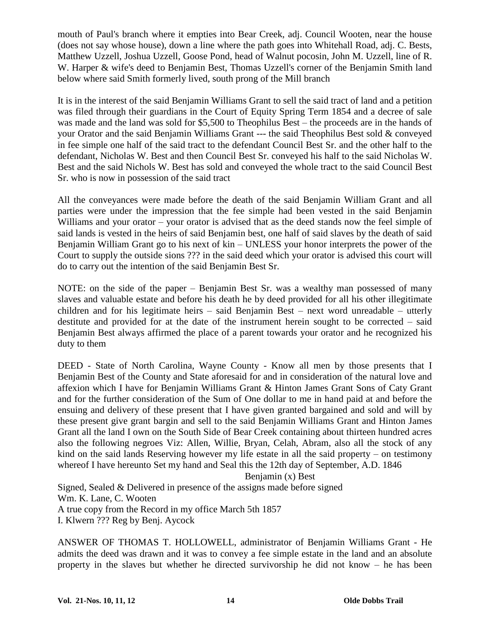mouth of Paul's branch where it empties into Bear Creek, adj. Council Wooten, near the house (does not say whose house), down a line where the path goes into Whitehall Road, adj. C. Bests, Matthew Uzzell, Joshua Uzzell, Goose Pond, head of Walnut pocosin, John M. Uzzell, line of R. W. Harper & wife's deed to Benjamin Best, Thomas Uzzell's corner of the Benjamin Smith land below where said Smith formerly lived, south prong of the Mill branch

It is in the interest of the said Benjamin Williams Grant to sell the said tract of land and a petition was filed through their guardians in the Court of Equity Spring Term 1854 and a decree of sale was made and the land was sold for  $$5,500$  to Theophilus Best – the proceeds are in the hands of your Orator and the said Benjamin Williams Grant --- the said Theophilus Best sold & conveyed in fee simple one half of the said tract to the defendant Council Best Sr. and the other half to the defendant, Nicholas W. Best and then Council Best Sr. conveyed his half to the said Nicholas W. Best and the said Nichols W. Best has sold and conveyed the whole tract to the said Council Best Sr. who is now in possession of the said tract

All the conveyances were made before the death of the said Benjamin William Grant and all parties were under the impression that the fee simple had been vested in the said Benjamin Williams and your orator – your orator is advised that as the deed stands now the feel simple of said lands is vested in the heirs of said Benjamin best, one half of said slaves by the death of said Benjamin William Grant go to his next of kin – UNLESS your honor interprets the power of the Court to supply the outside sions ??? in the said deed which your orator is advised this court will do to carry out the intention of the said Benjamin Best Sr.

NOTE: on the side of the paper – Benjamin Best Sr. was a wealthy man possessed of many slaves and valuable estate and before his death he by deed provided for all his other illegitimate children and for his legitimate heirs – said Benjamin Best – next word unreadable – utterly destitute and provided for at the date of the instrument herein sought to be corrected  $-$  said Benjamin Best always affirmed the place of a parent towards your orator and he recognized his duty to them

DEED - State of North Carolina, Wayne County - Know all men by those presents that I Benjamin Best of the County and State aforesaid for and in consideration of the natural love and affexion which I have for Benjamin Williams Grant & Hinton James Grant Sons of Caty Grant and for the further consideration of the Sum of One dollar to me in hand paid at and before the ensuing and delivery of these present that I have given granted bargained and sold and will by these present give grant bargin and sell to the said Benjamin Williams Grant and Hinton James Grant all the land I own on the South Side of Bear Creek containing about thirteen hundred acres also the following negroes Viz: Allen, Willie, Bryan, Celah, Abram, also all the stock of any kind on the said lands Reserving however my life estate in all the said property – on testimony whereof I have hereunto Set my hand and Seal this the 12th day of September, A.D. 1846

Benjamin (x) Best

Signed, Sealed & Delivered in presence of the assigns made before signed Wm. K. Lane, C. Wooten A true copy from the Record in my office March 5th 1857 I. Klwern ??? Reg by Benj. Aycock

ANSWER OF THOMAS T. HOLLOWELL, administrator of Benjamin Williams Grant - He admits the deed was drawn and it was to convey a fee simple estate in the land and an absolute property in the slaves but whether he directed survivorship he did not know  $-$  he has been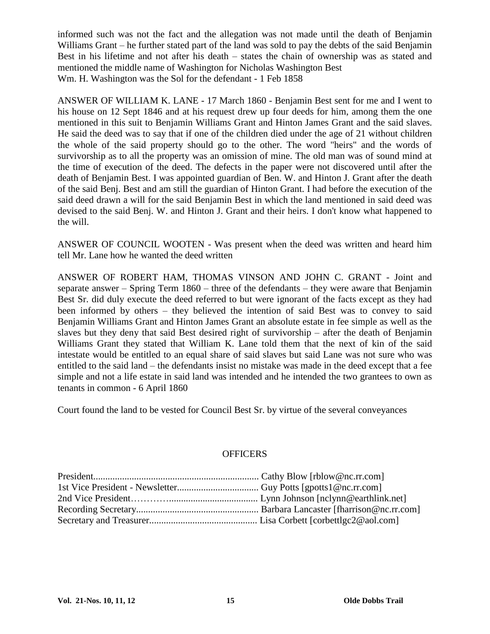informed such was not the fact and the allegation was not made until the death of Benjamin Williams Grant – he further stated part of the land was sold to pay the debts of the said Benjamin Best in his lifetime and not after his death – states the chain of ownership was as stated and mentioned the middle name of Washington for Nicholas Washington Best Wm. H. Washington was the Sol for the defendant - 1 Feb 1858

ANSWER OF WILLIAM K. LANE - 17 March 1860 - Benjamin Best sent for me and I went to his house on 12 Sept 1846 and at his request drew up four deeds for him, among them the one mentioned in this suit to Benjamin Williams Grant and Hinton James Grant and the said slaves. He said the deed was to say that if one of the children died under the age of 21 without children the whole of the said property should go to the other. The word "heirs" and the words of survivorship as to all the property was an omission of mine. The old man was of sound mind at the time of execution of the deed. The defects in the paper were not discovered until after the death of Benjamin Best. I was appointed guardian of Ben. W. and Hinton J. Grant after the death of the said Benj. Best and am still the guardian of Hinton Grant. I had before the execution of the said deed drawn a will for the said Benjamin Best in which the land mentioned in said deed was devised to the said Benj. W. and Hinton J. Grant and their heirs. I don't know what happened to the will.

ANSWER OF COUNCIL WOOTEN - Was present when the deed was written and heard him tell Mr. Lane how he wanted the deed written

ANSWER OF ROBERT HAM, THOMAS VINSON AND JOHN C. GRANT - Joint and separate answer – Spring Term  $1860$  – three of the defendants – they were aware that Benjamin Best Sr. did duly execute the deed referred to but were ignorant of the facts except as they had been informed by others – they believed the intention of said Best was to convey to said Benjamin Williams Grant and Hinton James Grant an absolute estate in fee simple as well as the slaves but they deny that said Best desired right of survivorship  $-$  after the death of Benjamin Williams Grant they stated that William K. Lane told them that the next of kin of the said intestate would be entitled to an equal share of said slaves but said Lane was not sure who was entitled to the said land – the defendants insist no mistake was made in the deed except that a fee simple and not a life estate in said land was intended and he intended the two grantees to own as tenants in common - 6 April 1860

Court found the land to be vested for Council Best Sr. by virtue of the several conveyances

#### **OFFICERS**